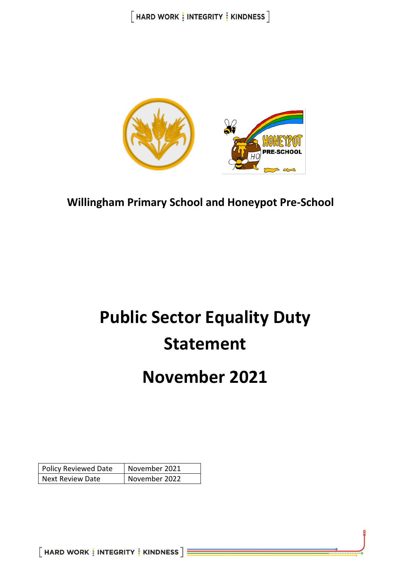

**Willingham Primary School and Honeypot Pre-School**

# **Public Sector Equality Duty Statement**

## **November 2021**

| <b>Policy Reviewed Date</b> | November 2021 |
|-----------------------------|---------------|
| <b>Next Review Date</b>     | November 2022 |

 $[$  HARD WORK  $\frac{1}{3}$  INTEGRITY  $\frac{1}{3}$  KINDNESS  $] \equiv$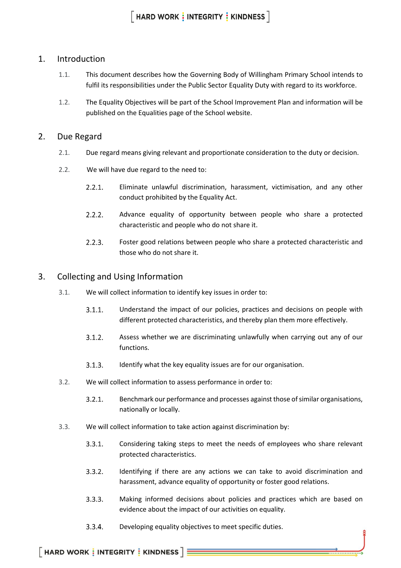#### 1. Introduction

- 1.1. This document describes how the Governing Body of Willingham Primary School intends to fulfil its responsibilities under the Public Sector Equality Duty with regard to its workforce.
- 1.2. The Equality Objectives will be part of the School Improvement Plan and information will be published on the Equalities page of the School website.

#### 2. Due Regard

- 2.1. Due regard means giving relevant and proportionate consideration to the duty or decision.
- 2.2. We will have due regard to the need to:
	- $2.2.1.$ Eliminate unlawful discrimination, harassment, victimisation, and any other conduct prohibited by the Equality Act.
	- $2.2.2.$ Advance equality of opportunity between people who share a protected characteristic and people who do not share it.
	- $2.2.3.$ Foster good relations between people who share a protected characteristic and those who do not share it.

#### 3. Collecting and Using Information

- 3.1. We will collect information to identify key issues in order to:
	- $3.1.1.$ Understand the impact of our policies, practices and decisions on people with different protected characteristics, and thereby plan them more effectively.
	- $3.1.2.$ Assess whether we are discriminating unlawfully when carrying out any of our functions.
	- $3.1.3.$ Identify what the key equality issues are for our organisation.
- 3.2. We will collect information to assess performance in order to:
	- $3.2.1.$ Benchmark our performance and processes against those of similar organisations, nationally or locally.
- 3.3. We will collect information to take action against discrimination by:
	- $3.3.1.$ Considering taking steps to meet the needs of employees who share relevant protected characteristics.
	- $3.3.2.$ Identifying if there are any actions we can take to avoid discrimination and harassment, advance equality of opportunity or foster good relations.
	- $3.3.3.$ Making informed decisions about policies and practices which are based on evidence about the impact of our activities on equality.
	- $3.3.4.$ Developing equality objectives to meet specific duties.